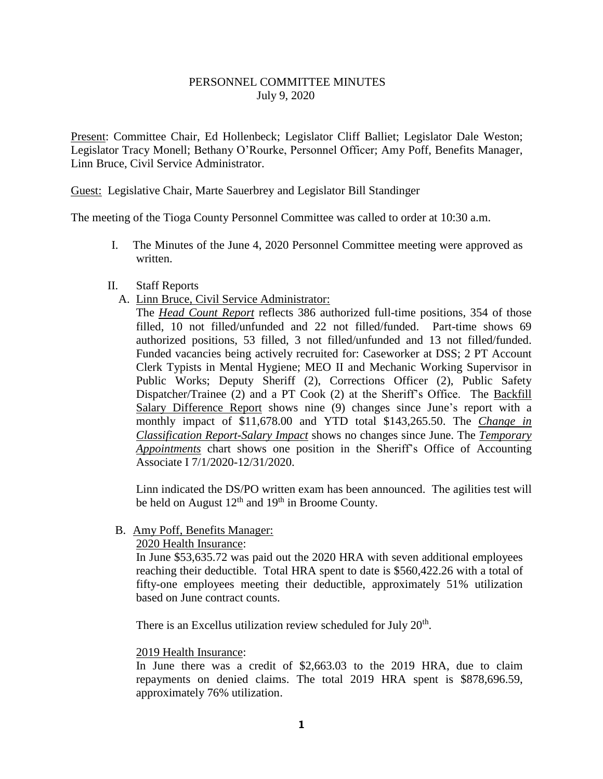# PERSONNEL COMMITTEE MINUTES July 9, 2020

Present: Committee Chair, Ed Hollenbeck; Legislator Cliff Balliet; Legislator Dale Weston; Legislator Tracy Monell; Bethany O'Rourke, Personnel Officer; Amy Poff, Benefits Manager, Linn Bruce, Civil Service Administrator.

Guest: Legislative Chair, Marte Sauerbrey and Legislator Bill Standinger

The meeting of the Tioga County Personnel Committee was called to order at 10:30 a.m.

- I. The Minutes of the June 4, 2020 Personnel Committee meeting were approved as written.
- II. Staff Reports
	- A. Linn Bruce, Civil Service Administrator:

The *Head Count Report* reflects 386 authorized full-time positions, 354 of those filled, 10 not filled/unfunded and 22 not filled/funded. Part-time shows 69 authorized positions, 53 filled, 3 not filled/unfunded and 13 not filled/funded. Funded vacancies being actively recruited for: Caseworker at DSS; 2 PT Account Clerk Typists in Mental Hygiene; MEO II and Mechanic Working Supervisor in Public Works; Deputy Sheriff (2), Corrections Officer (2), Public Safety Dispatcher/Trainee (2) and a PT Cook (2) at the Sheriff's Office. The Backfill Salary Difference Report shows nine (9) changes since June's report with a monthly impact of \$11,678.00 and YTD total \$143,265.50. The *Change in Classification Report-Salary Impact* shows no changes since June. The *Temporary Appointments* chart shows one position in the Sheriff's Office of Accounting Associate I 7/1/2020-12/31/2020.

Linn indicated the DS/PO written exam has been announced. The agilities test will be held on August  $12<sup>th</sup>$  and  $19<sup>th</sup>$  in Broome County.

# B. Amy Poff, Benefits Manager:

## 2020 Health Insurance:

In June \$53,635.72 was paid out the 2020 HRA with seven additional employees reaching their deductible. Total HRA spent to date is \$560,422.26 with a total of fifty-one employees meeting their deductible, approximately 51% utilization based on June contract counts.

There is an Excellus utilization review scheduled for July 20<sup>th</sup>.

#### 2019 Health Insurance:

In June there was a credit of \$2,663.03 to the 2019 HRA, due to claim repayments on denied claims. The total 2019 HRA spent is \$878,696.59, approximately 76% utilization.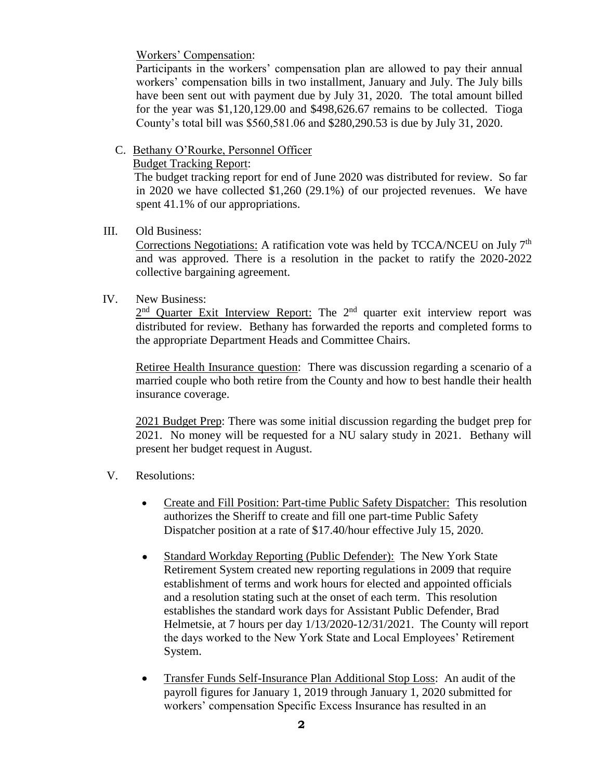Workers' Compensation:

Participants in the workers' compensation plan are allowed to pay their annual workers' compensation bills in two installment, January and July. The July bills have been sent out with payment due by July 31, 2020. The total amount billed for the year was \$1,120,129.00 and \$498,626.67 remains to be collected. Tioga County's total bill was \$560,581.06 and \$280,290.53 is due by July 31, 2020.

## C. Bethany O'Rourke, Personnel Officer

### Budget Tracking Report:

 The budget tracking report for end of June 2020 was distributed for review. So far in 2020 we have collected \$1,260 (29.1%) of our projected revenues. We have spent 41.1% of our appropriations.

## III. Old Business:

Corrections Negotiations: A ratification vote was held by TCCA/NCEU on July 7th and was approved. There is a resolution in the packet to ratify the 2020-2022 collective bargaining agreement.

# IV. New Business:

 $2<sup>nd</sup>$  Quarter Exit Interview Report: The  $2<sup>nd</sup>$  quarter exit interview report was distributed for review. Bethany has forwarded the reports and completed forms to the appropriate Department Heads and Committee Chairs.

Retiree Health Insurance question: There was discussion regarding a scenario of a married couple who both retire from the County and how to best handle their health insurance coverage.

2021 Budget Prep: There was some initial discussion regarding the budget prep for 2021. No money will be requested for a NU salary study in 2021. Bethany will present her budget request in August.

- V. Resolutions:
	- Create and Fill Position: Part-time Public Safety Dispatcher: This resolution authorizes the Sheriff to create and fill one part-time Public Safety Dispatcher position at a rate of \$17.40/hour effective July 15, 2020.
	- Standard Workday Reporting (Public Defender): The New York State Retirement System created new reporting regulations in 2009 that require establishment of terms and work hours for elected and appointed officials and a resolution stating such at the onset of each term. This resolution establishes the standard work days for Assistant Public Defender, Brad Helmetsie, at 7 hours per day 1/13/2020-12/31/2021. The County will report the days worked to the New York State and Local Employees' Retirement System.
	- Transfer Funds Self-Insurance Plan Additional Stop Loss: An audit of the payroll figures for January 1, 2019 through January 1, 2020 submitted for workers' compensation Specific Excess Insurance has resulted in an